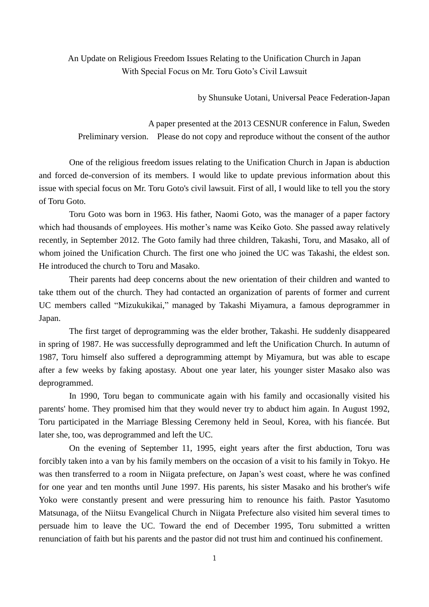An Update on Religious Freedom Issues Relating to the Unification Church in Japan With Special Focus on Mr. Toru Goto's Civil Lawsuit

by Shunsuke Uotani, Universal Peace Federation-Japan

A paper presented at the 2013 CESNUR conference in Falun, Sweden Preliminary version. Please do not copy and reproduce without the consent of the author

One of the religious freedom issues relating to the Unification Church in Japan is abduction and forced de-conversion of its members. I would like to update previous information about this issue with special focus on Mr. Toru Goto's civil lawsuit. First of all, I would like to tell you the story of Toru Goto.

Toru Goto was born in 1963. His father, Naomi Goto, was the manager of a paper factory which had thousands of employees. His mother's name was Keiko Goto. She passed away relatively recently, in September 2012. The Goto family had three children, Takashi, Toru, and Masako, all of whom joined the Unification Church. The first one who joined the UC was Takashi, the eldest son. He introduced the church to Toru and Masako.

Their parents had deep concerns about the new orientation of their children and wanted to take tthem out of the church. They had contacted an organization of parents of former and current UC members called "Mizukukikai," managed by Takashi Miyamura, a famous deprogrammer in Japan.

The first target of deprogramming was the elder brother, Takashi. He suddenly disappeared in spring of 1987. He was successfully deprogrammed and left the Unification Church. In autumn of 1987, Toru himself also suffered a deprogramming attempt by Miyamura, but was able to escape after a few weeks by faking apostasy. About one year later, his younger sister Masako also was deprogrammed.

In 1990, Toru began to communicate again with his family and occasionally visited his parents' home. They promised him that they would never try to abduct him again. In August 1992, Toru participated in the Marriage Blessing Ceremony held in Seoul, Korea, with his fiancée. But later she, too, was deprogrammed and left the UC.

On the evening of September 11, 1995, eight years after the first abduction, Toru was forcibly taken into a van by his family members on the occasion of a visit to his family in Tokyo. He was then transferred to a room in Niigata prefecture, on Japan's west coast, where he was confined for one year and ten months until June 1997. His parents, his sister Masako and his brother's wife Yoko were constantly present and were pressuring him to renounce his faith. Pastor Yasutomo Matsunaga, of the Niitsu Evangelical Church in Niigata Prefecture also visited him several times to persuade him to leave the UC. Toward the end of December 1995, Toru submitted a written renunciation of faith but his parents and the pastor did not trust him and continued his confinement.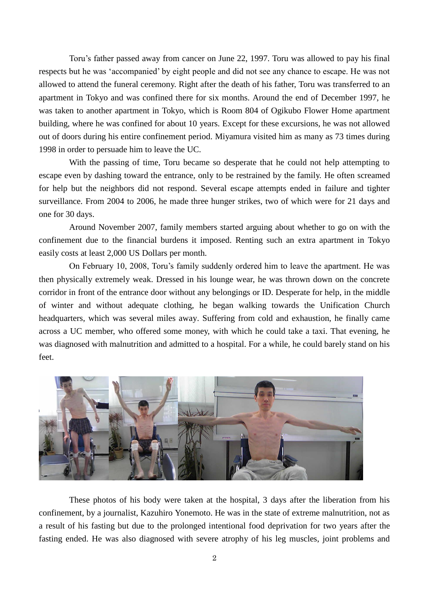Toru's father passed away from cancer on June 22, 1997. Toru was allowed to pay his final respects but he was 'accompanied' by eight people and did not see any chance to escape. He was not allowed to attend the funeral ceremony. Right after the death of his father, Toru was transferred to an apartment in Tokyo and was confined there for six months. Around the end of December 1997, he was taken to another apartment in Tokyo, which is Room 804 of Ogikubo Flower Home apartment building, where he was confined for about 10 years. Except for these excursions, he was not allowed out of doors during his entire confinement period. Miyamura visited him as many as 73 times during 1998 in order to persuade him to leave the UC.

With the passing of time, Toru became so desperate that he could not help attempting to escape even by dashing toward the entrance, only to be restrained by the family. He often screamed for help but the neighbors did not respond. Several escape attempts ended in failure and tighter surveillance. From 2004 to 2006, he made three hunger strikes, two of which were for 21 days and one for 30 days.

Around November 2007, family members started arguing about whether to go on with the confinement due to the financial burdens it imposed. Renting such an extra apartment in Tokyo easily costs at least 2,000 US Dollars per month.

On February 10, 2008, Toru's family suddenly ordered him to leave the apartment. He was then physically extremely weak. Dressed in his lounge wear, he was thrown down on the concrete corridor in front of the entrance door without any belongings or ID. Desperate for help, in the middle of winter and without adequate clothing, he began walking towards the Unification Church headquarters, which was several miles away. Suffering from cold and exhaustion, he finally came across a UC member, who offered some money, with which he could take a taxi. That evening, he was diagnosed with malnutrition and admitted to a hospital. For a while, he could barely stand on his feet.



These photos of his body were taken at the hospital, 3 days after the liberation from his confinement, by a journalist, Kazuhiro Yonemoto. He was in the state of extreme malnutrition, not as a result of his fasting but due to the prolonged intentional food deprivation for two years after the fasting ended. He was also diagnosed with severe atrophy of his leg muscles, joint problems and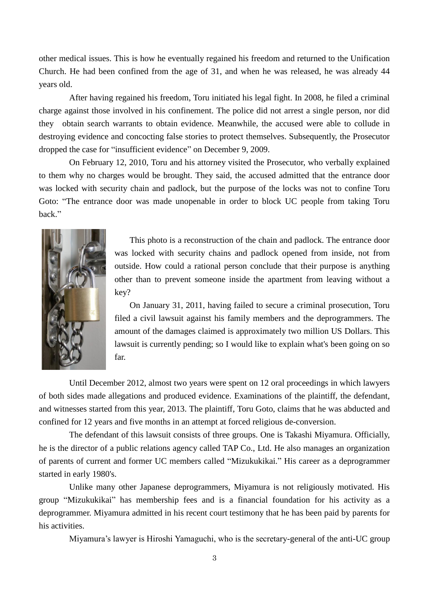other medical issues. This is how he eventually regained his freedom and returned to the Unification Church. He had been confined from the age of 31, and when he was released, he was already 44 years old.

After having regained his freedom, Toru initiated his legal fight. In 2008, he filed a criminal charge against those involved in his confinement. The police did not arrest a single person, nor did they obtain search warrants to obtain evidence. Meanwhile, the accused were able to collude in destroying evidence and concocting false stories to protect themselves. Subsequently, the Prosecutor dropped the case for "insufficient evidence" on December 9, 2009.

On February 12, 2010, Toru and his attorney visited the Prosecutor, who verbally explained to them why no charges would be brought. They said, the accused admitted that the entrance door was locked with security chain and padlock, but the purpose of the locks was not to confine Toru Goto: "The entrance door was made unopenable in order to block UC people from taking Toru back."



This photo is a reconstruction of the chain and padlock. The entrance door was locked with security chains and padlock opened from inside, not from outside. How could a rational person conclude that their purpose is anything other than to prevent someone inside the apartment from leaving without a key?

On January 31, 2011, having failed to secure a criminal prosecution, Toru filed a civil lawsuit against his family members and the deprogrammers. The amount of the damages claimed is approximately two million US Dollars. This lawsuit is currently pending; so I would like to explain what's been going on so far.

Until December 2012, almost two years were spent on 12 oral proceedings in which lawyers of both sides made allegations and produced evidence. Examinations of the plaintiff, the defendant, and witnesses started from this year, 2013. The plaintiff, Toru Goto, claims that he was abducted and confined for 12 years and five months in an attempt at forced religious de-conversion.

The defendant of this lawsuit consists of three groups. One is Takashi Miyamura. Officially, he is the director of a public relations agency called TAP Co., Ltd. He also manages an organization of parents of current and former UC members called "Mizukukikai." His career as a deprogrammer started in early 1980's.

Unlike many other Japanese deprogrammers, Miyamura is not religiously motivated. His group "Mizukukikai" has membership fees and is a financial foundation for his activity as a deprogrammer. Miyamura admitted in his recent court testimony that he has been paid by parents for his activities.

Miyamura's lawyer is Hiroshi Yamaguchi, who is the secretary-general of the anti-UC group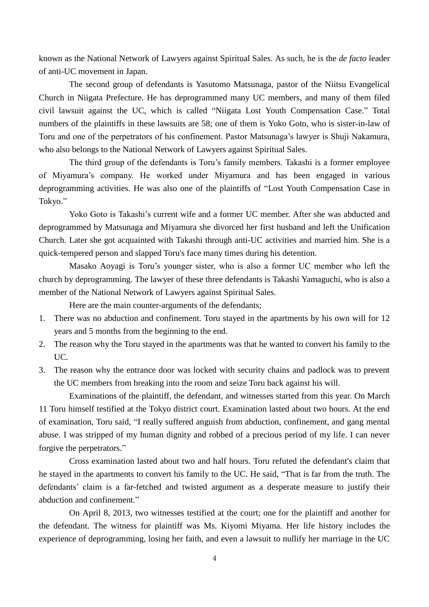known as the National Network of Lawyers against Spiritual Sales. As such, he is the *de facto* leader of anti-UC movement in Japan.

The second group of defendants is Yasutomo Matsunaga, pastor of the Niitsu Evangelical Church in Niigata Prefecture. He has deprogrammed many UC members, and many of them filed civil lawsuit against the UC, which is called "Niigata Lost Youth Compensation Case." Total numbers of the plaintiffs in these lawsuits are 58; one of them is Yoko Goto, who is sister-in-law of Toru and one of the perpetrators of his confinement. Pastor Matsunaga's lawyer is Shuji Nakamura, who also belongs to the National Network of Lawyers against Spiritual Sales.

The third group of the defendants is Toru's family members. Takashi is a former employee of Miyamura's company. He worked under Miyamura and has been engaged in various deprogramming activities. He was also one of the plaintiffs of "Lost Youth Compensation Case in Tokyo."

Yoko Goto is Takashi's current wife and a former UC member. After she was abducted and deprogrammed by Matsunaga and Miyamura she divorced her first husband and left the Unification Church. Later she got acquainted with Takashi through anti-UC activities and married him. She is a quick-tempered person and slapped Toru's face many times during his detention.

Masako Aoyagi is Toru's younger sister, who is also a former UC member who left the church by deprogramming. The lawyer of these three defendants is Takashi Yamaguchi, who is also a member of the National Network of Lawyers against Spiritual Sales.

Here are the main counter-arguments of the defendants;

- 1. There was no abduction and confinement. Toru stayed in the apartments by his own will for 12 years and 5 months from the beginning to the end.
- 2. The reason why the Toru stayed in the apartments was that he wanted to convert his family to the UC.
- 3. The reason why the entrance door was locked with security chains and padlock was to prevent the UC members from breaking into the room and seize Toru back against his will.

Examinations of the plaintiff, the defendant, and witnesses started from this year. On March 11 Toru himself testified at the Tokyo district court. Examination lasted about two hours. At the end of examination, Toru said, "I really suffered anguish from abduction, confinement, and gang mental abuse. I was stripped of my human dignity and robbed of a precious period of my life. I can never forgive the perpetrators."

Cross examination lasted about two and half hours. Toru refuted the defendant's claim that he stayed in the apartments to convert his family to the UC. He said, "That is far from the truth. The defendants' claim is a far-fetched and twisted argument as a desperate measure to justify their abduction and confinement."

On April 8, 2013, two witnesses testified at the court; one for the plaintiff and another for the defendant. The witness for plaintiff was Ms. Kiyomi Miyama. Her life history includes the experience of deprogramming, losing her faith, and even a lawsuit to nullify her marriage in the UC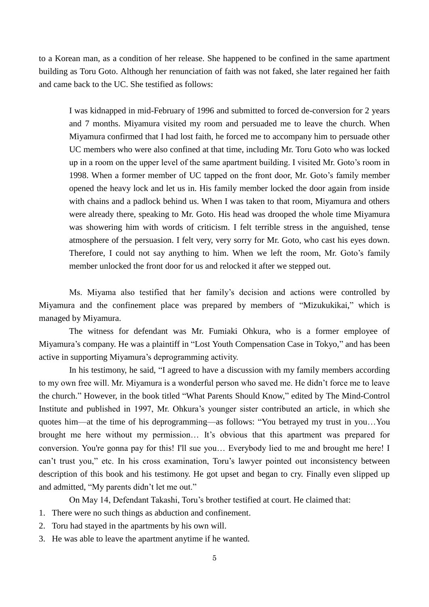to a Korean man, as a condition of her release. She happened to be confined in the same apartment building as Toru Goto. Although her renunciation of faith was not faked, she later regained her faith and came back to the UC. She testified as follows:

I was kidnapped in mid-February of 1996 and submitted to forced de-conversion for 2 years and 7 months. Miyamura visited my room and persuaded me to leave the church. When Miyamura confirmed that I had lost faith, he forced me to accompany him to persuade other UC members who were also confined at that time, including Mr. Toru Goto who was locked up in a room on the upper level of the same apartment building. I visited Mr. Goto's room in 1998. When a former member of UC tapped on the front door, Mr. Goto's family member opened the heavy lock and let us in. His family member locked the door again from inside with chains and a padlock behind us. When I was taken to that room, Miyamura and others were already there, speaking to Mr. Goto. His head was drooped the whole time Miyamura was showering him with words of criticism. I felt terrible stress in the anguished, tense atmosphere of the persuasion. I felt very, very sorry for Mr. Goto, who cast his eyes down. Therefore, I could not say anything to him. When we left the room, Mr. Goto's family member unlocked the front door for us and relocked it after we stepped out.

Ms. Miyama also testified that her family's decision and actions were controlled by Miyamura and the confinement place was prepared by members of "Mizukukikai," which is managed by Miyamura.

The witness for defendant was Mr. Fumiaki Ohkura, who is a former employee of Miyamura's company. He was a plaintiff in "Lost Youth Compensation Case in Tokyo," and has been active in supporting Miyamura's deprogramming activity.

In his testimony, he said, "I agreed to have a discussion with my family members according to my own free will. Mr. Miyamura is a wonderful person who saved me. He didn't force me to leave the church." However, in the book titled "What Parents Should Know," edited by The Mind-Control Institute and published in 1997, Mr. Ohkura's younger sister contributed an article, in which she quotes him—at the time of his deprogramming—as follows: "You betrayed my trust in you…You brought me here without my permission… It's obvious that this apartment was prepared for conversion. You're gonna pay for this! I'll sue you… Everybody lied to me and brought me here! I can't trust you," etc. In his cross examination, Toru's lawyer pointed out inconsistency between description of this book and his testimony. He got upset and began to cry. Finally even slipped up and admitted, "My parents didn't let me out."

On May 14, Defendant Takashi, Toru's brother testified at court. He claimed that:

- 1. There were no such things as abduction and confinement.
- 2. Toru had stayed in the apartments by his own will.
- 3. He was able to leave the apartment anytime if he wanted.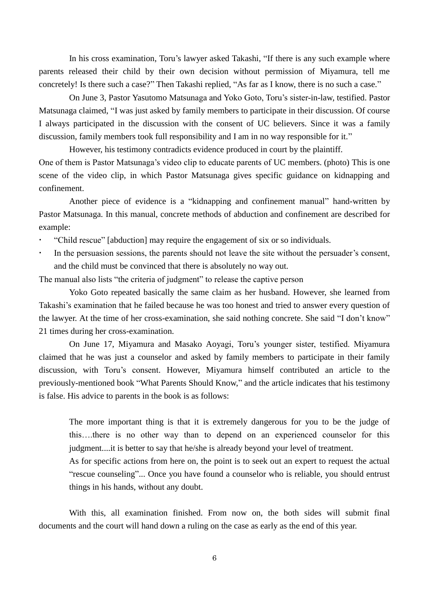In his cross examination, Toru's lawyer asked Takashi, "If there is any such example where parents released their child by their own decision without permission of Miyamura, tell me concretely! Is there such a case?" Then Takashi replied, "As far as I know, there is no such a case."

On June 3, Pastor Yasutomo Matsunaga and Yoko Goto, Toru's sister-in-law, testified. Pastor Matsunaga claimed, "I was just asked by family members to participate in their discussion. Of course I always participated in the discussion with the consent of UC believers. Since it was a family discussion, family members took full responsibility and I am in no way responsible for it."

However, his testimony contradicts evidence produced in court by the plaintiff. One of them is Pastor Matsunaga's video clip to educate parents of UC members. (photo) This is one scene of the video clip, in which Pastor Matsunaga gives specific guidance on kidnapping and confinement.

Another piece of evidence is a "kidnapping and confinement manual" hand-written by Pastor Matsunaga. In this manual, concrete methods of abduction and confinement are described for example:

- "Child rescue" [abduction] may require the engagement of six or so individuals.
- In the persuasion sessions, the parents should not leave the site without the persuader's consent, and the child must be convinced that there is absolutely no way out.

The manual also lists "the criteria of judgment" to release the captive person

Yoko Goto repeated basically the same claim as her husband. However, she learned from Takashi's examination that he failed because he was too honest and tried to answer every question of the lawyer. At the time of her cross-examination, she said nothing concrete. She said "I don't know" 21 times during her cross-examination.

On June 17, Miyamura and Masako Aoyagi, Toru's younger sister, testified. Miyamura claimed that he was just a counselor and asked by family members to participate in their family discussion, with Toru's consent. However, Miyamura himself contributed an article to the previously-mentioned book "What Parents Should Know," and the article indicates that his testimony is false. His advice to parents in the book is as follows:

The more important thing is that it is extremely dangerous for you to be the judge of this….there is no other way than to depend on an experienced counselor for this judgment....it is better to say that he/she is already beyond your level of treatment.

As for specific actions from here on, the point is to seek out an expert to request the actual "rescue counseling"... Once you have found a counselor who is reliable, you should entrust things in his hands, without any doubt.

With this, all examination finished. From now on, the both sides will submit final documents and the court will hand down a ruling on the case as early as the end of this year.